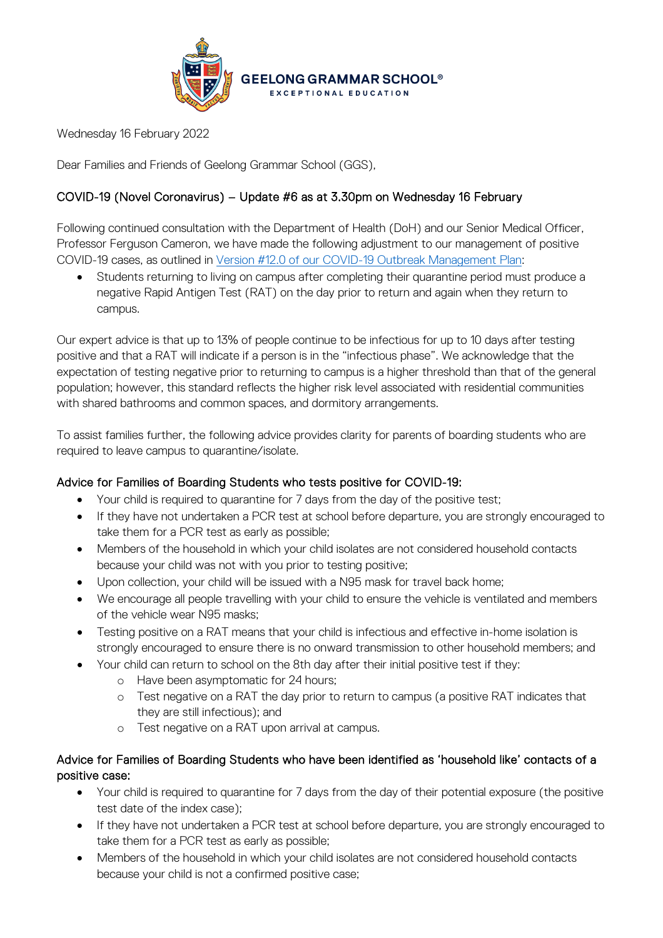

Wednesday 16 February 2022

Dear Families and Friends of Geelong Grammar School (GGS),

# COVID-19 (Novel Coronavirus) – Update #6 as at 3.30pm on Wednesday 16 February

Following continued consultation with the Department of Health (DoH) and our Senior Medical Officer, Professor Ferguson Cameron, we have made the following adjustment to our management of positive COVID-19 cases, as outlined in [Version #12.0 of our COVID-19 Outbreak Management Plan:](https://www.ggs.vic.edu.au/wp-content/uploads/2022/02/GGS-Outbreak-Management-Plan-as-at-16.02.2022.pdf)

• Students returning to living on campus after completing their quarantine period must produce a negative Rapid Antigen Test (RAT) on the day prior to return and again when they return to campus.

Our expert advice is that up to 13% of people continue to be infectious for up to 10 days after testing positive and that a RAT will indicate if a person is in the "infectious phase". We acknowledge that the expectation of testing negative prior to returning to campus is a higher threshold than that of the general population; however, this standard reflects the higher risk level associated with residential communities with shared bathrooms and common spaces, and dormitory arrangements.

To assist families further, the following advice provides clarity for parents of boarding students who are required to leave campus to quarantine/isolate.

## Advice for Families of Boarding Students who tests positive for COVID-19:

- Your child is required to quarantine for 7 days from the day of the positive test;
- If they have not undertaken a PCR test at school before departure, you are strongly encouraged to take them for a PCR test as early as possible;
- Members of the household in which your child isolates are not considered household contacts because your child was not with you prior to testing positive;
- Upon collection, your child will be issued with a N95 mask for travel back home;
- We encourage all people travelling with your child to ensure the vehicle is ventilated and members of the vehicle wear N95 masks;
- Testing positive on a RAT means that your child is infectious and effective in-home isolation is strongly encouraged to ensure there is no onward transmission to other household members; and
- Your child can return to school on the 8th day after their initial positive test if they:
	- o Have been asymptomatic for 24 hours;
	- o Test negative on a RAT the day prior to return to campus (a positive RAT indicates that they are still infectious); and
	- o Test negative on a RAT upon arrival at campus.

## Advice for Families of Boarding Students who have been identified as 'household like' contacts of a positive case:

- Your child is required to quarantine for 7 days from the day of their potential exposure (the positive test date of the index case);
- If they have not undertaken a PCR test at school before departure, you are strongly encouraged to take them for a PCR test as early as possible;
- Members of the household in which your child isolates are not considered household contacts because your child is not a confirmed positive case;